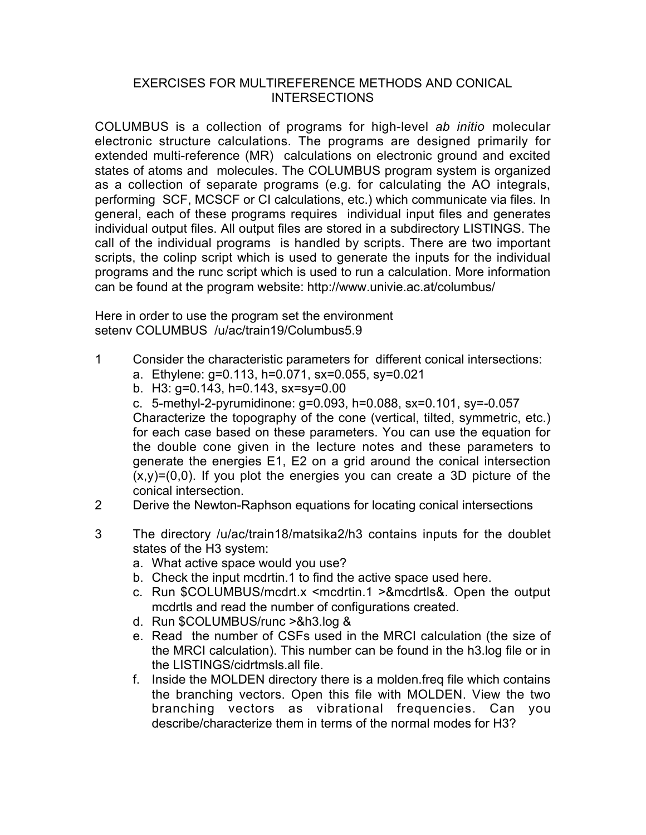## EXERCISES FOR MULTIREFERENCE METHODS AND CONICAL INTERSECTIONS

COLUMBUS is a collection of programs for high-level *ab initio* molecular electronic structure calculations. The programs are designed primarily for extended multi-reference (MR) calculations on electronic ground and excited states of atoms and molecules. The COLUMBUS program system is organized as a collection of separate programs (e.g. for calculating the AO integrals, performing SCF, MCSCF or CI calculations, etc.) which communicate via files. In general, each of these programs requires individual input files and generates individual output files. All output files are stored in a subdirectory LISTINGS. The call of the individual programs is handled by scripts. There are two important scripts, the colinp script which is used to generate the inputs for the individual programs and the runc script which is used to run a calculation. More information can be found at the program website: http://www.univie.ac.at/columbus/

Here in order to use the program set the environment seteny COLUMBUS /u/ac/train19/Columbus5.9

- 1 Consider the characteristic parameters for different conical intersections:
	- a. Ethylene: g=0.113, h=0.071, sx=0.055, sy=0.021
	- b. H3: g=0.143, h=0.143, sx=sy=0.00

c. 5-methyl-2-pyrumidinone: g=0.093, h=0.088, sx=0.101, sy=-0.057 Characterize the topography of the cone (vertical, tilted, symmetric, etc.) for each case based on these parameters. You can use the equation for the double cone given in the lecture notes and these parameters to generate the energies E1, E2 on a grid around the conical intersection  $(x,y)=(0,0)$ . If you plot the energies you can create a 3D picture of the conical intersection.

- 2 Derive the Newton-Raphson equations for locating conical intersections
- 3 The directory /u/ac/train18/matsika2/h3 contains inputs for the doublet states of the H3 system:
	- a. What active space would you use?
	- b. Check the input mcdrtin.1 to find the active space used here.
	- c. Run \$COLUMBUS/mcdrt.x <mcdrtin.1 >&mcdrtls&. Open the output mcdrtls and read the number of configurations created.
	- d. Run \$COLUMBUS/runc >&h3.log &
	- e. Read the number of CSFs used in the MRCI calculation (the size of the MRCI calculation). This number can be found in the h3.log file or in the LISTINGS/cidrtmsls.all file.
	- f. Inside the MOLDEN directory there is a molden.freq file which contains the branching vectors. Open this file with MOLDEN. View the two branching vectors as vibrational frequencies. Can you describe/characterize them in terms of the normal modes for H3?